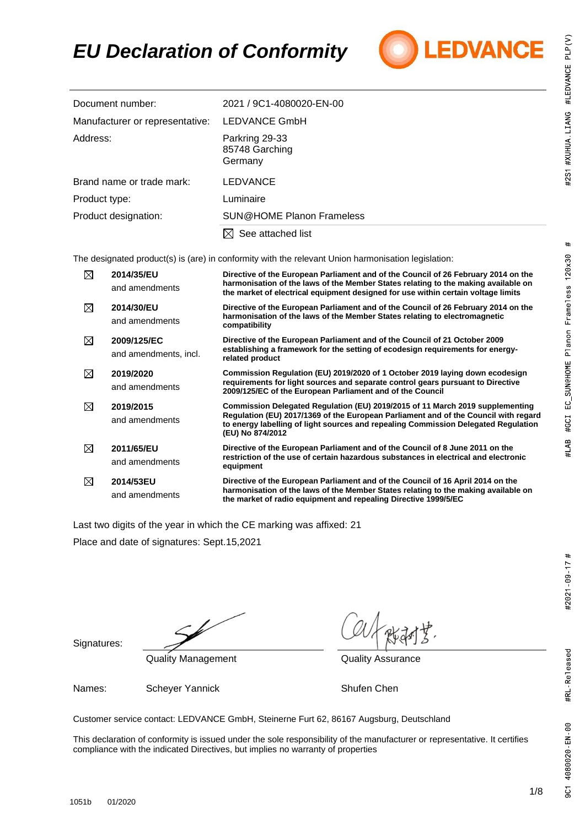## $#$ #LAB #GCI EC\_SUN@HOME Planon Frameless 120x30

#2021 - 09 - 17 #

### *EU Declaration of Conformity*



| Document number:                | 2021 / 9C1-4080020-EN-00                    |
|---------------------------------|---------------------------------------------|
| Manufacturer or representative: | LEDVANCE GmbH                               |
| Address:                        | Parkring 29-33<br>85748 Garching<br>Germany |
| Brand name or trade mark:       | <b>LEDVANCE</b>                             |
| Product type:                   | Luminaire                                   |
| Product designation:            | <b>SUN@HOME Planon Frameless</b>            |
|                                 | See attached list<br>IХЕ                    |

The designated product(s) is (are) in conformity with the relevant Union harmonisation legislation:

| ⊠ | 2014/35/EU<br>and amendments         | Directive of the European Parliament and of the Council of 26 February 2014 on the<br>harmonisation of the laws of the Member States relating to the making available on<br>the market of electrical equipment designed for use within certain voltage limits                  |
|---|--------------------------------------|--------------------------------------------------------------------------------------------------------------------------------------------------------------------------------------------------------------------------------------------------------------------------------|
| ⊠ | 2014/30/EU<br>and amendments         | Directive of the European Parliament and of the Council of 26 February 2014 on the<br>harmonisation of the laws of the Member States relating to electromagnetic<br>compatibility                                                                                              |
| ⊠ | 2009/125/EC<br>and amendments, incl. | Directive of the European Parliament and of the Council of 21 October 2009<br>establishing a framework for the setting of ecodesign requirements for energy-<br>related product                                                                                                |
| ⊠ | 2019/2020<br>and amendments          | Commission Regulation (EU) 2019/2020 of 1 October 2019 laying down ecodesign<br>requirements for light sources and separate control gears pursuant to Directive<br>2009/125/EC of the European Parliament and of the Council                                                   |
| ⊠ | 2019/2015<br>and amendments          | Commission Delegated Regulation (EU) 2019/2015 of 11 March 2019 supplementing<br>Regulation (EU) 2017/1369 of the European Parliament and of the Council with regard<br>to energy labelling of light sources and repealing Commission Delegated Regulation<br>(EU) No 874/2012 |
| ⊠ | 2011/65/EU<br>and amendments         | Directive of the European Parliament and of the Council of 8 June 2011 on the<br>restriction of the use of certain hazardous substances in electrical and electronic<br>equipment                                                                                              |
| ⊠ | 2014/53EU<br>and amendments          | Directive of the European Parliament and of the Council of 16 April 2014 on the<br>harmonisation of the laws of the Member States relating to the making available on<br>the market of radio equipment and repealing Directive 1999/5/EC                                       |

Last two digits of the year in which the CE marking was affixed: 21

Place and date of signatures: Sept.15,2021

Signatures:

Quality Management **Quality Assurance** 

Names: Scheyer Yannick Shufen Chen

Customer service contact: LEDVANCE GmbH, Steinerne Furt 62, 86167 Augsburg, Deutschland

This declaration of conformity is issued under the sole responsibility of the manufacturer or representative. It certifies compliance with the indicated Directives, but implies no warranty of properties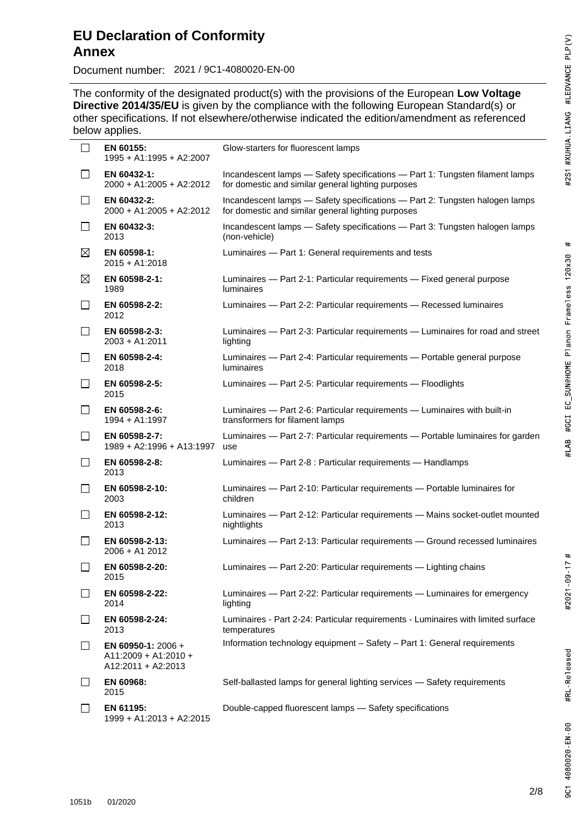Document number: 2021 / 9C1-4080020-EN-00

2021 / 9C1- The conformity of the designated product(s) with the provisions of the European Low Voltage **Directive 2014/35/EU** is given by the compliance with the following European Standard(s) or other specifications. If not elsewhere/otherwise indicated the edition/amendment as referenced below applies.

| ப              | EN 60155:<br>1995 + A1:1995 + A2:2007                              | Glow-starters for fluorescent lamps                                                                                                |
|----------------|--------------------------------------------------------------------|------------------------------------------------------------------------------------------------------------------------------------|
| $\Box$         | EN 60432-1:<br>2000 + A1:2005 + A2:2012                            | Incandescent lamps - Safety specifications - Part 1: Tungsten filament lamps<br>for domestic and similar general lighting purposes |
| П              | EN 60432-2:<br>2000 + A1:2005 + A2:2012                            | Incandescent lamps - Safety specifications - Part 2: Tungsten halogen lamps<br>for domestic and similar general lighting purposes  |
| $\mathsf{L}$   | EN 60432-3:<br>2013                                                | Incandescent lamps - Safety specifications - Part 3: Tungsten halogen lamps<br>(non-vehicle)                                       |
| $\boxtimes$    | EN 60598-1:<br>$2015 + A1:2018$                                    | Luminaires - Part 1: General requirements and tests                                                                                |
| $\boxtimes$    | EN 60598-2-1:<br>1989                                              | Luminaires - Part 2-1: Particular requirements - Fixed general purpose<br><b>luminaires</b>                                        |
| $\Box$         | EN 60598-2-2:<br>2012                                              | Luminaires - Part 2-2: Particular requirements - Recessed luminaires                                                               |
| $\Box$         | EN 60598-2-3:<br>$2003 + A1:2011$                                  | Luminaires - Part 2-3: Particular requirements - Luminaires for road and street<br>lighting                                        |
| $\overline{a}$ | EN 60598-2-4:<br>2018                                              | Luminaires - Part 2-4: Particular requirements - Portable general purpose<br>luminaires                                            |
| $\mathsf{L}$   | EN 60598-2-5:<br>2015                                              | Luminaires - Part 2-5: Particular requirements - Floodlights                                                                       |
| $\Box$         | EN 60598-2-6:<br>1994 + A1:1997                                    | Luminaires - Part 2-6: Particular requirements - Luminaires with built-in<br>transformers for filament lamps                       |
| $\mathsf{L}$   | EN 60598-2-7:<br>1989 + A2:1996 + A13:1997                         | Luminaires - Part 2-7: Particular requirements - Portable luminaires for garden<br>use                                             |
| $\mathsf{L}$   | EN 60598-2-8:<br>2013                                              | Luminaires - Part 2-8 : Particular requirements - Handlamps                                                                        |
| $\mathsf{L}$   | EN 60598-2-10:<br>2003                                             | Luminaires - Part 2-10: Particular requirements - Portable luminaires for<br>children                                              |
| П              | EN 60598-2-12:<br>2013                                             | Luminaires - Part 2-12: Particular requirements - Mains socket-outlet mounted<br>nightlights                                       |
| $\mathsf{L}$   | EN 60598-2-13:<br>2006 + A1 2012                                   | Luminaires - Part 2-13: Particular requirements - Ground recessed luminaires                                                       |
| $\mathsf{L}$   | EN 60598-2-20:<br>2015                                             | Luminaires - Part 2-20: Particular requirements - Lighting chains                                                                  |
| $\mathsf{L}$   | EN 60598-2-22:<br>2014                                             | Luminaires - Part 2-22: Particular requirements - Luminaires for emergency<br>lighting                                             |
| $\mathsf{L}$   | EN 60598-2-24:<br>2013                                             | Luminaires - Part 2-24: Particular requirements - Luminaires with limited surface<br>temperatures                                  |
| $\mathsf{L}$   | EN 60950-1: 2006 +<br>$A11:2009 + A1:2010 +$<br>A12:2011 + A2:2013 | Information technology equipment - Safety - Part 1: General requirements                                                           |
|                | EN 60968:<br>2015                                                  | Self-ballasted lamps for general lighting services - Safety requirements                                                           |
| $\mathsf{L}$   | EN 61195:<br>1999 + A1:2013 + A2:2015                              | Double-capped fluorescent lamps - Safety specifications                                                                            |

#2021 09 - 17 #

#RL Released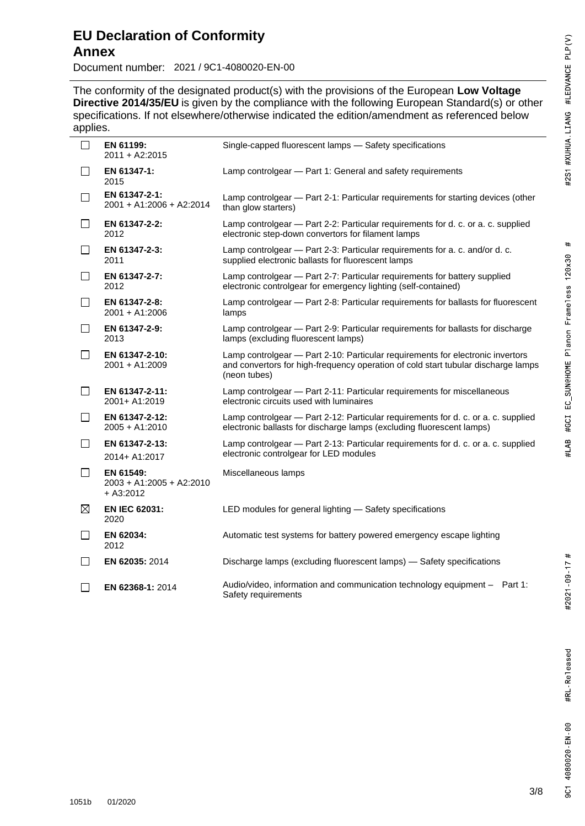# $#$ #LAB #GCI EC\_SUN@HOME Planon Frameless 120x30

Document number: 2021 / 9C1-4080020-EN-00

2021 / 9C1- The conformity of the designated product(s) with the provisions of the European Low Voltage **Directive 2014/35/EU** is given by the compliance with the following European Standard(s) or other specifications. If not elsewhere/otherwise indicated the edition/amendment as referenced below applies.

| . .          |                                                    |                                                                                                                                                                                     |
|--------------|----------------------------------------------------|-------------------------------------------------------------------------------------------------------------------------------------------------------------------------------------|
| $\Box$       | EN 61199:<br>2011 + A2:2015                        | Single-capped fluorescent lamps - Safety specifications                                                                                                                             |
| $\Box$       | EN 61347-1:<br>2015                                | Lamp controlgear - Part 1: General and safety requirements                                                                                                                          |
| $\Box$       | EN 61347-2-1:<br>2001 + A1:2006 + A2:2014          | Lamp controlgear - Part 2-1: Particular requirements for starting devices (other<br>than glow starters)                                                                             |
| $\Box$       | EN 61347-2-2:<br>2012                              | Lamp controlgear - Part 2-2: Particular requirements for d. c. or a. c. supplied<br>electronic step-down convertors for filament lamps                                              |
| $\Box$       | EN 61347-2-3:<br>2011                              | Lamp controlgear - Part 2-3: Particular requirements for a. c. and/or d. c.<br>supplied electronic ballasts for fluorescent lamps                                                   |
| $\perp$      | EN 61347-2-7:<br>2012                              | Lamp controlgear - Part 2-7: Particular requirements for battery supplied<br>electronic controlgear for emergency lighting (self-contained)                                         |
| $\Box$       | EN 61347-2-8:<br>2001 + A1:2006                    | Lamp controlgear - Part 2-8: Particular requirements for ballasts for fluorescent<br>lamps                                                                                          |
| $\Box$       | EN 61347-2-9:<br>2013                              | Lamp controlgear - Part 2-9: Particular requirements for ballasts for discharge<br>lamps (excluding fluorescent lamps)                                                              |
| $\perp$      | EN 61347-2-10:<br>2001 + A1:2009                   | Lamp controlgear - Part 2-10: Particular requirements for electronic invertors<br>and convertors for high-frequency operation of cold start tubular discharge lamps<br>(neon tubes) |
| $\Box$       | EN 61347-2-11:<br>2001+ A1:2019                    | Lamp controlgear - Part 2-11: Particular requirements for miscellaneous<br>electronic circuits used with luminaires                                                                 |
| $\perp$      | EN 61347-2-12:<br>2005 + A1:2010                   | Lamp controlgear - Part 2-12: Particular requirements for d. c. or a. c. supplied<br>electronic ballasts for discharge lamps (excluding fluorescent lamps)                          |
| $\Box$       | EN 61347-2-13:<br>2014+ A1:2017                    | Lamp controlgear - Part 2-13: Particular requirements for d. c. or a. c. supplied<br>electronic controlgear for LED modules                                                         |
| $\Box$       | EN 61549:<br>2003 + A1:2005 + A2:2010<br>+ A3:2012 | Miscellaneous lamps                                                                                                                                                                 |
| $\boxtimes$  | <b>EN IEC 62031:</b><br>2020                       | LED modules for general lighting - Safety specifications                                                                                                                            |
| $\Box$       | EN 62034:<br>2012                                  | Automatic test systems for battery powered emergency escape lighting                                                                                                                |
| $\perp$      | EN 62035: 2014                                     | Discharge lamps (excluding fluorescent lamps) - Safety specifications                                                                                                               |
| $\mathsf{L}$ | <b>EN 62368-1: 2014</b>                            | Audio/video, information and communication technology equipment - Part 1:<br>Safety requirements                                                                                    |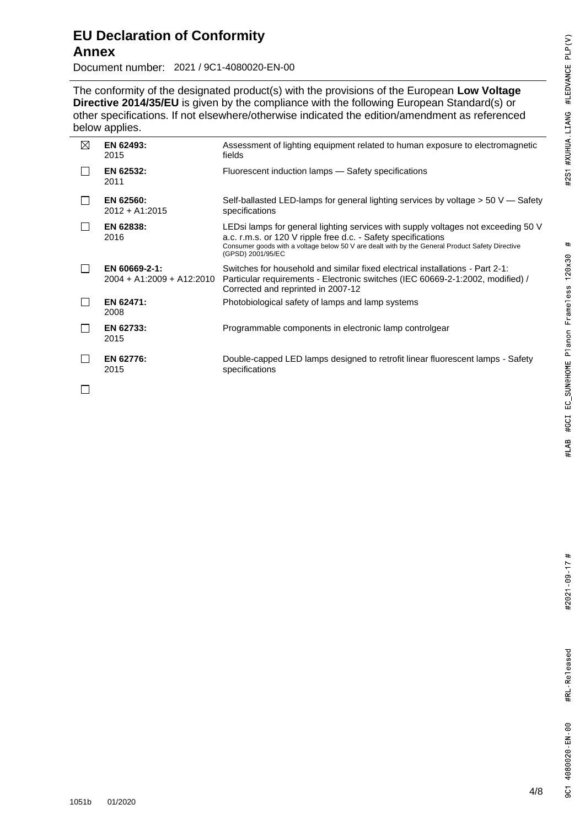#### **EU Declaration of Conformity Annex**

Document number: 2021 / 9C1-4080020-EN-00

2021 / 9C1- The conformity of the designated product(s) with the provisions of the European Low Voltage **Directive 2014/35/EU** is given by the compliance with the following European Standard(s) or other specifications. If not elsewhere/otherwise indicated the edition/amendment as referenced below applies.

| ⊠ | EN 62493:<br>2015                          | Assessment of lighting equipment related to human exposure to electromagnetic<br>fields                                                                                                                                                                                    |
|---|--------------------------------------------|----------------------------------------------------------------------------------------------------------------------------------------------------------------------------------------------------------------------------------------------------------------------------|
|   | EN 62532:<br>2011                          | Fluorescent induction lamps - Safety specifications                                                                                                                                                                                                                        |
|   | EN 62560:<br>$2012 + A1:2015$              | Self-ballasted LED-lamps for general lighting services by voltage $> 50$ V — Safety<br>specifications                                                                                                                                                                      |
|   | EN 62838:<br>2016                          | LEDsi lamps for general lighting services with supply voltages not exceeding 50 V<br>a.c. r.m.s. or 120 V ripple free d.c. - Safety specifications<br>Consumer goods with a voltage below 50 V are dealt with by the General Product Safety Directive<br>(GPSD) 2001/95/EC |
|   | EN 60669-2-1:<br>2004 + A1:2009 + A12:2010 | Switches for household and similar fixed electrical installations - Part 2-1:<br>Particular requirements - Electronic switches (IEC 60669-2-1:2002, modified) /<br>Corrected and reprinted in 2007-12                                                                      |
|   | EN 62471:<br>2008                          | Photobiological safety of lamps and lamp systems                                                                                                                                                                                                                           |
|   | EN 62733:<br>2015                          | Programmable components in electronic lamp controlgear                                                                                                                                                                                                                     |
|   | EN 62776:<br>2015                          | Double-capped LED lamps designed to retrofit linear fluorescent lamps - Safety<br>specifications                                                                                                                                                                           |
|   |                                            |                                                                                                                                                                                                                                                                            |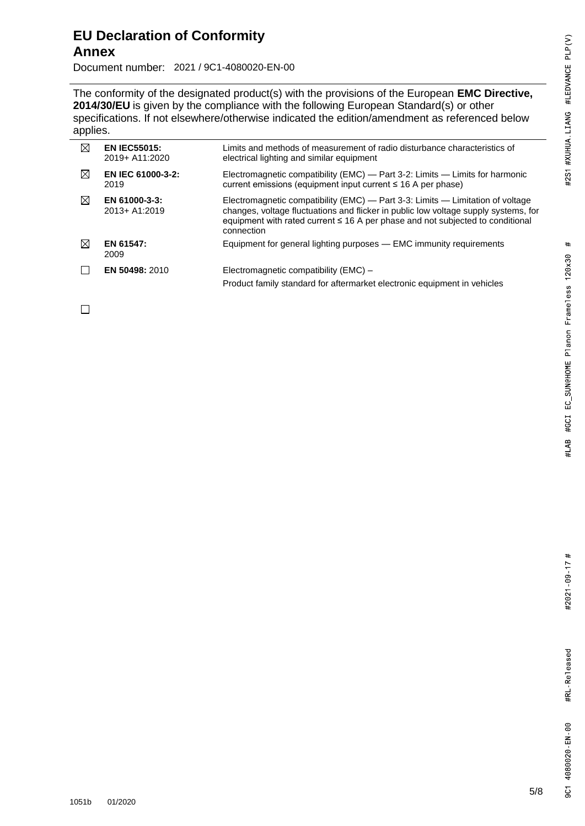#### **EU Declaration of Conformity Annex**

Document number: 2021 / 9C1-4080020-EN-00

The conformity of the designated product(s) with the provisions of the European **EMC Directive**, **2014/30/EU** is given by the compliance with the following European Standard(s) or other specifications. If not elsewhere/otherwise indicated the edition/amendment as referenced below applies.

| ⊠ | <b>EN IEC55015:</b><br>2019+ A11:2020 | Limits and methods of measurement of radio disturbance characteristics of<br>electrical lighting and similar equipment                                                                                                                                                     |
|---|---------------------------------------|----------------------------------------------------------------------------------------------------------------------------------------------------------------------------------------------------------------------------------------------------------------------------|
| ⊠ | <b>EN IEC 61000-3-2:</b><br>2019      | Electromagnetic compatibility (EMC) — Part 3-2: Limits — Limits for harmonic<br>current emissions (equipment input current ≤ 16 A per phase)                                                                                                                               |
| ⊠ | EN 61000-3-3:<br>2013+ A1:2019        | Electromagnetic compatibility (EMC) — Part 3-3: Limits — Limitation of voltage<br>changes, voltage fluctuations and flicker in public low voltage supply systems, for<br>equipment with rated current $\leq$ 16 A per phase and not subjected to conditional<br>connection |
| M | EN 61547:<br>2009                     | Equipment for general lighting purposes — EMC immunity requirements                                                                                                                                                                                                        |
|   | EN 50498: 2010                        | Electromagnetic compatibility (EMC) -<br>Product family standard for aftermarket electronic equipment in vehicles                                                                                                                                                          |

 $\Box$ 

2021 / 9C1-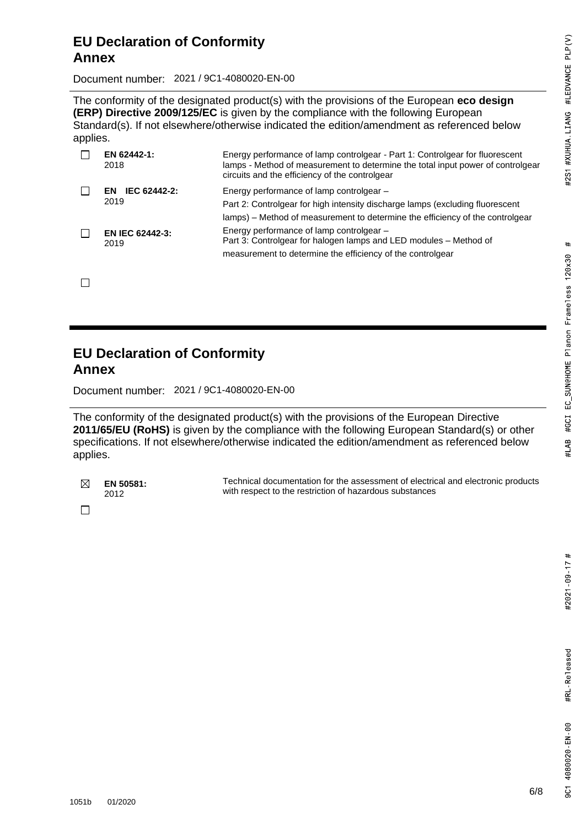### $#$ #GCI EC\_SUN@HOME Planon Frameless 120x30 #LAB

Document number: 2021 / 9C1-4080020-EN-00

The conformity of the designated product(s) with the provisions of the European **eco design (ERP) Directive 2009/125/EC** is given by the compliance with the following European Standard(s). If not elsewhere/otherwise indicated the edition/amendment as referenced below applies.

| EN 62442-1:<br>2018            | Energy performance of lamp controlgear - Part 1: Controlgear for fluorescent<br>lamps - Method of measurement to determine the total input power of controlgear<br>circuits and the efficiency of the controlgear |
|--------------------------------|-------------------------------------------------------------------------------------------------------------------------------------------------------------------------------------------------------------------|
| IEC 62442-2:<br>FN.<br>2019    | Energy performance of lamp controlgear -<br>Part 2: Controlgear for high intensity discharge lamps (excluding fluorescent<br>lamps) – Method of measurement to determine the efficiency of the controlgear        |
| <b>EN IEC 62442-3:</b><br>2019 | Energy performance of lamp controlgear -<br>Part 3: Controlgear for halogen lamps and LED modules - Method of<br>measurement to determine the efficiency of the controlgear                                       |

 $\Box$ 

#### **EU Declaration of Conformity Annex**

Document number: 2021 / 9C1-4080020-EN-00

The conformity of the designated product(s) with the provisions of the European Directive **2011/65/EU (RoHS)** is given by the compliance with the following European Standard(s) or other specifications. If not elsewhere/otherwise indicated the edition/amendment as referenced below applies.

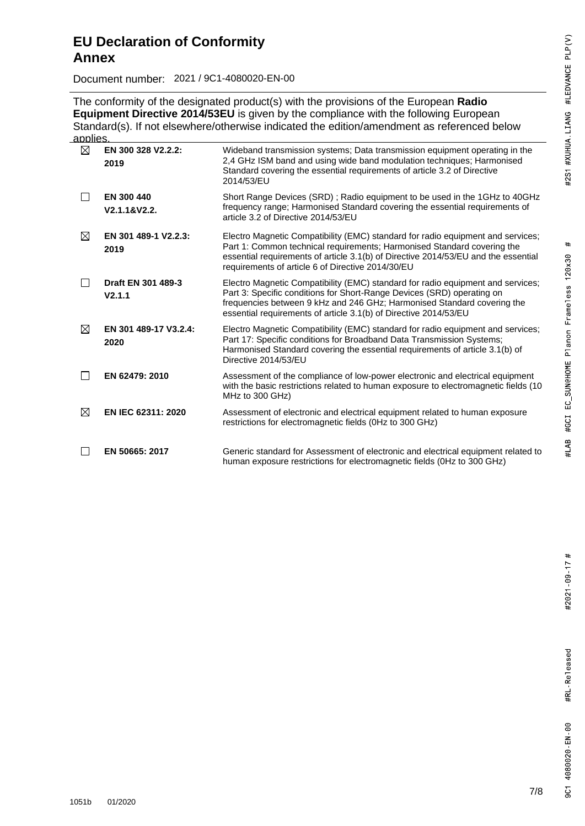Document number: 2021 / 9C1-4080020-EN-00

The conformity of the designated product(s) with the provisions of the European **Radio Equipment Directive 2014/53EU** is given by the compliance with the following European Standard(s). If not elsewhere/otherwise indicated the edition/amendment as referenced below applies.

| $\boxtimes$  | EN 300 328 V2.2.2:<br>2019    | Wideband transmission systems; Data transmission equipment operating in the<br>2,4 GHz ISM band and using wide band modulation techniques; Harmonised<br>Standard covering the essential requirements of article 3.2 of Directive<br>2014/53/EU                                                          |
|--------------|-------------------------------|----------------------------------------------------------------------------------------------------------------------------------------------------------------------------------------------------------------------------------------------------------------------------------------------------------|
| $\mathsf{L}$ | EN 300 440<br>V2.1.1&V2.2.    | Short Range Devices (SRD); Radio equipment to be used in the 1GHz to 40GHz<br>frequency range; Harmonised Standard covering the essential requirements of<br>article 3.2 of Directive 2014/53/EU                                                                                                         |
| ⊠            | EN 301 489-1 V2.2.3:<br>2019  | Electro Magnetic Compatibility (EMC) standard for radio equipment and services;<br>Part 1: Common technical requirements; Harmonised Standard covering the<br>essential requirements of article 3.1(b) of Directive 2014/53/EU and the essential<br>requirements of article 6 of Directive 2014/30/EU    |
| $\mathbf{I}$ | Draft EN 301 489-3<br>V2.1.1  | Electro Magnetic Compatibility (EMC) standard for radio equipment and services;<br>Part 3: Specific conditions for Short-Range Devices (SRD) operating on<br>frequencies between 9 kHz and 246 GHz; Harmonised Standard covering the<br>essential requirements of article 3.1(b) of Directive 2014/53/EU |
| $\boxtimes$  | EN 301 489-17 V3.2.4:<br>2020 | Electro Magnetic Compatibility (EMC) standard for radio equipment and services;<br>Part 17: Specific conditions for Broadband Data Transmission Systems;<br>Harmonised Standard covering the essential requirements of article 3.1(b) of<br>Directive 2014/53/EU                                         |
|              | EN 62479: 2010                | Assessment of the compliance of low-power electronic and electrical equipment<br>with the basic restrictions related to human exposure to electromagnetic fields (10)<br>MHz to 300 GHz)                                                                                                                 |
| ⊠            | EN IEC 62311: 2020            | Assessment of electronic and electrical equipment related to human exposure<br>restrictions for electromagnetic fields (0Hz to 300 GHz)                                                                                                                                                                  |
| $\sim 10$    | EN 50665: 2017                | Generic standard for Assessment of electronic and electrical equipment related to<br>human exposure restrictions for electromagnetic fields (OHz to 300 GHz)                                                                                                                                             |